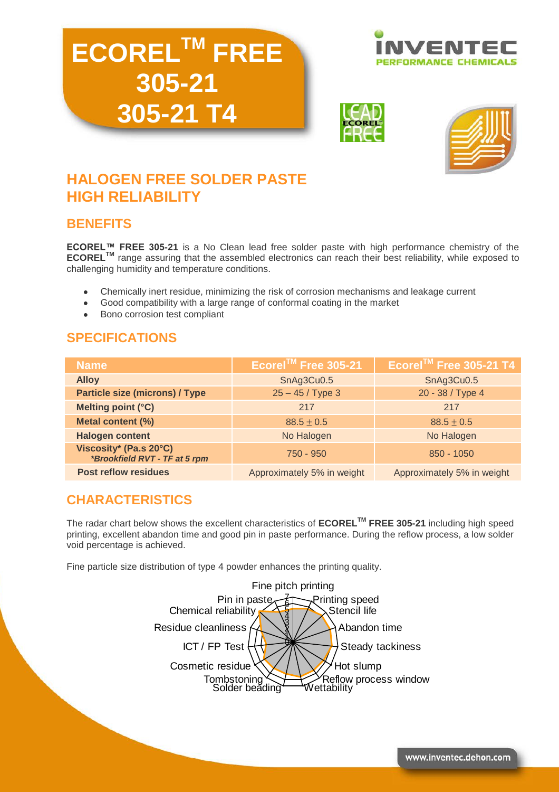# **ECORELTM FREE 305-21 305-21 T4**







# **HALOGEN FREE SOLDER PASTE HIGH RELIABILITY**

# **BENEFITS**

**ECOREL™ FREE 305-21** is a No Clean lead free solder paste with high performance chemistry of the **ECOREL<sup>™</sup>** range assuring that the assembled electronics can reach their best reliability, while exposed to challenging humidity and temperature conditions.

- Chemically inert residue, minimizing the risk of corrosion mechanisms and leakage current
- Good compatibility with a large range of conformal coating in the market  $\bullet$
- Bono corrosion test compliant

# **SPECIFICATIONS**

| <b>Name</b>                                             | Ecorel™ Free 305-21        | Ecorel™ Free 305-21 T4     |
|---------------------------------------------------------|----------------------------|----------------------------|
| <b>Alloy</b>                                            | SnAg3Cu0.5                 | SnAg3Cu0.5                 |
| <b>Particle size (microns) / Type</b>                   | $25 - 45 /$ Type 3         | 20 - 38 / Type 4           |
| Melting point (°C)                                      | 217                        | 217                        |
| Metal content (%)                                       | $88.5 \pm 0.5$             | $88.5 \pm 0.5$             |
| <b>Halogen content</b>                                  | No Halogen                 | No Halogen                 |
| Viscosity* (Pa.s 20°C)<br>*Brookfield RVT - TF at 5 rpm | $750 - 950$                | 850 - 1050                 |
| <b>Post reflow residues</b>                             | Approximately 5% in weight | Approximately 5% in weight |

# **CHARACTERISTICS**

The radar chart below shows the excellent characteristics of **ECORELTM FREE 305-21** including high speed printing, excellent abandon time and good pin in paste performance. During the reflow process, a low solder void percentage is achieved.

Fine particle size distribution of type 4 powder enhances the printing quality.

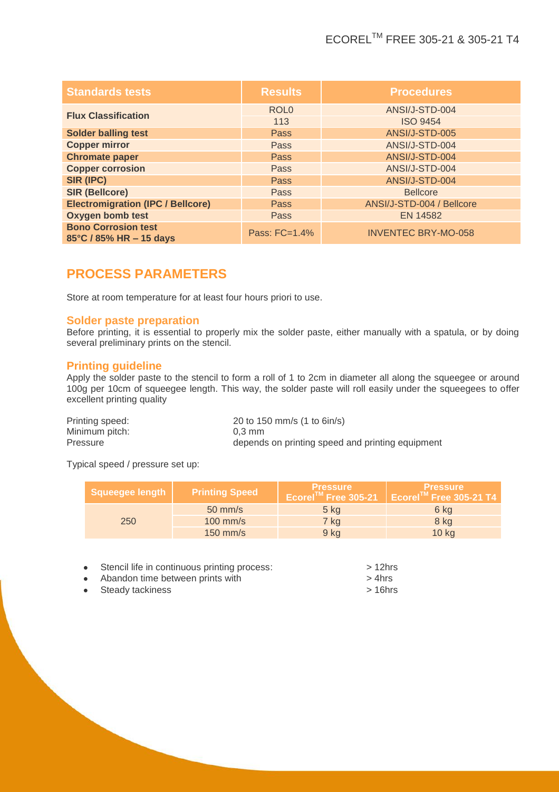| <b>Standards tests</b>                                | <b>Results</b>   | <b>Procedures</b>          |
|-------------------------------------------------------|------------------|----------------------------|
| <b>Flux Classification</b>                            | ROL <sub>0</sub> | ANSI/J-STD-004             |
|                                                       | 113              | <b>ISO 9454</b>            |
| <b>Solder balling test</b>                            | <b>Pass</b>      | ANSI/J-STD-005             |
| <b>Copper mirror</b>                                  | Pass             | ANSI/J-STD-004             |
| <b>Chromate paper</b>                                 | <b>Pass</b>      | ANSI/J-STD-004             |
| <b>Copper corrosion</b>                               | Pass             | ANSI/J-STD-004             |
| SIR (IPC)                                             | <b>Pass</b>      | ANSI/J-STD-004             |
| <b>SIR (Bellcore)</b>                                 | Pass             | <b>Bellcore</b>            |
| <b>Electromigration (IPC / Bellcore)</b>              | Pass             | ANSI/J-STD-004 / Bellcore  |
| <b>Oxygen bomb test</b>                               | Pass             | EN 14582                   |
| <b>Bono Corrosion test</b><br>85°C / 85% HR - 15 days | Pass: FC=1.4%    | <b>INVENTEC BRY-MO-058</b> |

# **PROCESS PARAMETERS**

Store at room temperature for at least four hours priori to use.

#### **Solder paste preparation**

Before printing, it is essential to properly mix the solder paste, either manually with a spatula, or by doing several preliminary prints on the stencil.

#### **Printing guideline**

Apply the solder paste to the stencil to form a roll of 1 to 2cm in diameter all along the squeegee or around 100g per 10cm of squeegee length. This way, the solder paste will roll easily under the squeegees to offer excellent printing quality

Printing speed: 20 to 150 mm/s (1 to 6in/s) Minimum pitch: 0,3 mm<br>Pressure depends depends on printing speed and printing equipment

Typical speed / pressure set up:

| <b>Squeegee length</b> | <b>Printing Speed</b> | <b>Pressure</b> | <b>Pressure</b><br>Ecorel <sup>™</sup> Free 305-21 Ecorel™ Free 305-21 T4 |
|------------------------|-----------------------|-----------------|---------------------------------------------------------------------------|
|                        | $50 \text{ mm/s}$     | $5$ kg          | 6 kg                                                                      |
| 250                    | $100$ mm/s            | 7 kg            | 8 kg                                                                      |
|                        | $150$ mm/s            | 9 kg            | $10$ kg                                                                   |

| • Stencil life in continuous printing process: | $>12$ hrs |
|------------------------------------------------|-----------|
| • Abandon time between prints with             | $>4$ hrs  |
| • Steady tackiness                             | $>16$ hrs |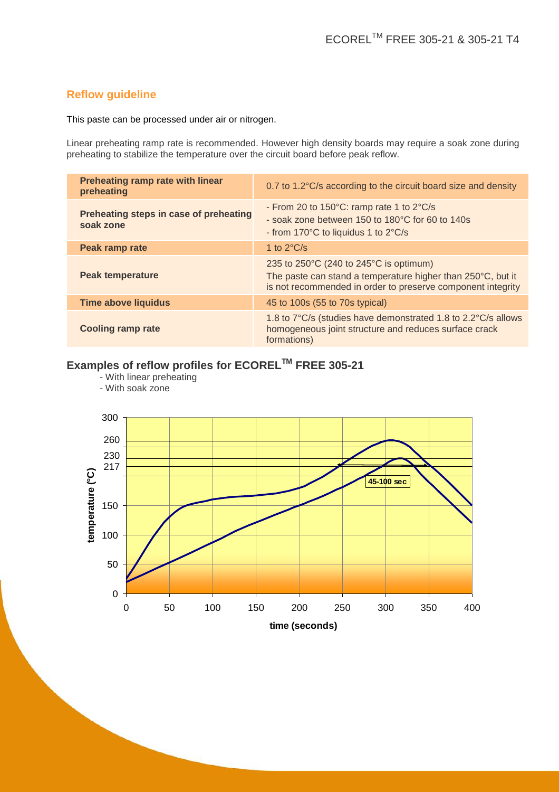## **Reflow guideline**

This paste can be processed under air or nitrogen.

Linear preheating ramp rate is recommended. However high density boards may require a soak zone during preheating to stabilize the temperature over the circuit board before peak reflow.

| Preheating ramp rate with linear<br>preheating      | 0.7 to 1.2°C/s according to the circuit board size and density                                                                                                                           |
|-----------------------------------------------------|------------------------------------------------------------------------------------------------------------------------------------------------------------------------------------------|
| Preheating steps in case of preheating<br>soak zone | - From 20 to $150^{\circ}$ C: ramp rate 1 to $2^{\circ}$ C/s<br>- soak zone between 150 to 180°C for 60 to 140s<br>- from 170°C to liquidus 1 to 2°C/s                                   |
| Peak ramp rate                                      | 1 to $2^{\circ}$ C/s                                                                                                                                                                     |
| Peak temperature                                    | 235 to $250^{\circ}$ C (240 to $245^{\circ}$ C is optimum)<br>The paste can stand a temperature higher than 250°C, but it<br>is not recommended in order to preserve component integrity |
| <b>Time above liquidus</b>                          | 45 to 100s (55 to 70s typical)                                                                                                                                                           |
| <b>Cooling ramp rate</b>                            | 1.8 to 7°C/s (studies have demonstrated 1.8 to 2.2°C/s allows<br>homogeneous joint structure and reduces surface crack<br>formations)                                                    |

# **Examples of reflow profiles for ECOREL™ FREE 305-21**

**.**<br>- With linear preheating

- With soak zone